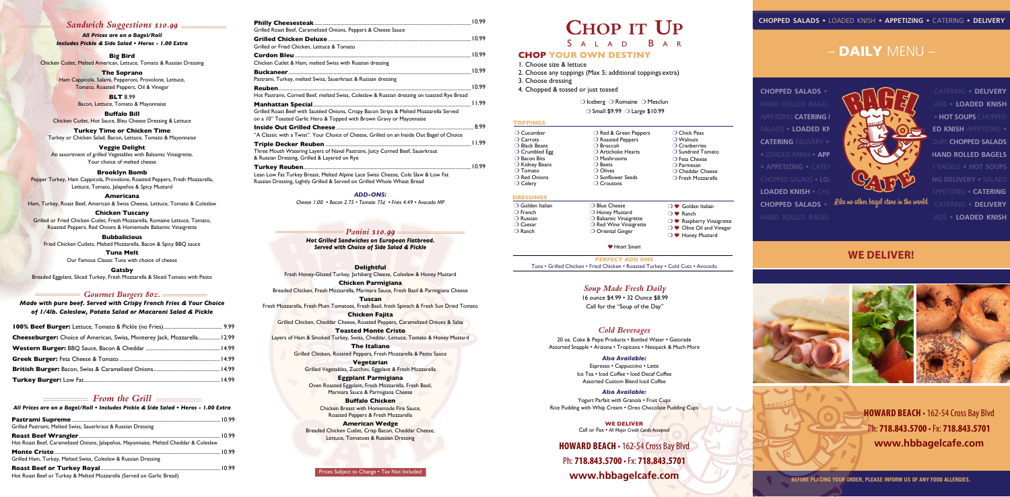# **CHOP YOUR OWN DESTINY**

 $\bigcirc$  Iceberg  $\bigcirc$  Romaine  $\bigcirc$  Mesclun

 $\circ$  Small \$9.99  $\circ$  Large \$10.99

1. Choose size & lettuce

2. Choose any toppings (Max 5; additional toppings extra) 3. Choose dressing 4. Chopped & tossed or just tossed

- $\bigcirc$  Blue Cheese  $\bigcirc$  Honey Mustard  $\bigcirc$  Balsamic Vinaigrette  $\bigcirc$  Red Wine Vinaigrette O Oriental Ginger
- $\bigcirc$   $\bullet$  Golden Italian  $\bigcirc$  **P** Ranch  $\bigcirc$  **W** Raspberry Vinaigrette  $\bigcirc$   $\bullet$  Olive Oil and Vinegar  $\bigcirc$   $\bullet$  Honey Mustard
- b *Heart Smart*



#### **DRESSINGS**

 $\bigcirc$  Golden Italian  $\bigcirc$  French  $\bigcirc$  Russian

 $\bigcirc$  Caesar  $\bigcirc$  Ranch

**PERFECT ADD ONS** Tuna • Grilled Chicken • Fried Chicken • Roasted Turkey • Cold Cuts • Avocado

#### **TOPPINGS**

 $\bigcirc$  Cucumber

 $\bigcirc$  Carrots  $\bigcirc$  Black Beans

 $\bigcirc$  Crumbled Egg

 $\bigcirc$  Bacon Bits

 $\bigcirc$  Kidney Beans

 $\bigcirc$  Tomato

 $\bigcirc$  Red Onions

 $\bigcirc$  Celery

#### *Panini \$10.99*

*Hot Grilled Sandwiches on European Flatbread. Served with Choice of Side Salad & Pickle*

# *Cold Beverages*

#### **Delightful**

Yogurt Parfait with Granola • Fruit Cups Rice Pudding with Whip Cream • Oreo Chocolate Pudding Cups

Fresh Honey-Glazed Turkey, Jarlsberg Cheese, Coleslaw & Honey Mustard

**Chicken Parmigiana** Breaded Chicken, Fresh Mozzarella, Marinara Sauce, Fresh Basil & Parmigiana Cheese

**Tuscan** Fresh Mozzarella, Fresh Plum Tomatoes, Fresh Basil, fresh Spinach & Fresh Sun Dried Tomato

**Chicken Fajita** Grilled Chicken, Cheddar Cheese, Roasted Peppers, Caramelized Onions & Salsa

**Toasted Monte Cristo** Layers of Ham & Smoked Turkey, Swiss, Cheddar, Lettuce, Tomato & Honey Mustard

> **The Italiano** Grilled Chicken, Roasted Peppers, Fresh Mozzarella & Pesto Sauce

**Vegetarian** Grilled Vegetables, Zucchini, Eggplant & Fresh Mozzarella

**Eggplant Parmigiana** Oven Roasted Eggplant, Fresh Mozzarella, Fresh Basil, Marinara Sauce & Parmigiana Cheese

**Buffalo Chicken** Chicken Breast with Homemade Fire Sauce, Roasted Peppers & Fresh Mozzarella

**American Wedge** Breaded Chicken Cutlet, Crisp Bacon, Cheddar Cheese, Lettuce, Tomatoes & Russian Dressing

20 oz. Coke & Pepsi Products *•* Bottled Water • Gatorade Assorted Snapple • Arizona • Tropicana • Nesquick & Much More

# *Also Available:*

Espresso • Cappuccino • Latte Ice Tea • Iced Coffee • Iced Decaf Coffee Assorted Custom Blend Iced Coffee

# *Also Available:*

Prices Subject to Change • Tax Not Included

| Cheeseburger: Choice of American, Swiss, Monterey Jack, Mozzarella 12.99 |  |
|--------------------------------------------------------------------------|--|
|                                                                          |  |
|                                                                          |  |
|                                                                          |  |
|                                                                          |  |

| Grilled Roast Beef, Caramelized Onions, Peppers & Cheese Sauce                                                                                                 |  |
|----------------------------------------------------------------------------------------------------------------------------------------------------------------|--|
|                                                                                                                                                                |  |
| Grilled or Fried Chicken, Lettuce & Tomato                                                                                                                     |  |
|                                                                                                                                                                |  |
| Chicken Cutlet & Ham, melted Swiss with Russian dressing                                                                                                       |  |
|                                                                                                                                                                |  |
| Pastrami, Turkey, melted Swiss, Sauerkraut & Russian dressing                                                                                                  |  |
|                                                                                                                                                                |  |
| Hot Pastrami, Corned Beef, melted Swiss, Coleslaw & Russian dressing on toasted Rye Bread                                                                      |  |
|                                                                                                                                                                |  |
| Grilled Roast Beef with Sautéed Onions, Crispy Bacon Strips & Melted Mozzarella Served<br>on a 10" Toasted Garlic Hero & Topped with Brown Gravy or Mayonnaise |  |
|                                                                                                                                                                |  |
| "A Classic with a Twist". Your Choice of Cheese, Grilled on an Inside Out Bagel of Choice                                                                      |  |
|                                                                                                                                                                |  |
| Three Mouth Watering Layers of Naval Pastrami, Juicy Corned Beef, Sauerkraut                                                                                   |  |
| & Russian Dressing, Grilled & Layered on Rye                                                                                                                   |  |
|                                                                                                                                                                |  |
| Lean Low Fat Turkey Breast, Melted Alpine Lace Swiss Cheese, Cole Slaw & Low Fat                                                                               |  |
| Russian Dressing, Lightly Grilled & Served on Grilled Whole Wheat Bread                                                                                        |  |

**HOWARD BEACH · 162-54 Cross Bay Blvd** Ph: **718.843.5700** • Fx: **718.843.5701 www.hbbagelcafe.com**

*Cheese 1.00 • Bacon 2.75 • Tomato 75¢ • Fries 4.49 • Avocado MP*

#### *ADD-ONS:*

#### *From the Grill*

*All Prices are on a Bagel/Roll • Includes Pickle & Side Salad • Heros - 1.00 Extra*

| Grilled Pastrami, Melted Swiss, Sauerkraut & Russian Dressing                        |  |
|--------------------------------------------------------------------------------------|--|
|                                                                                      |  |
| Hot Roast Beef, Caramelized Onions, Jalapeños, Mayonnaise, Melted Cheddar & Coleslaw |  |
|                                                                                      |  |
| Grilled Ham, Turkey, Melted Swiss, Coleslaw & Russian Dressing                       |  |
|                                                                                      |  |
| Hot Roast Beef or Turkey & Melted Mozzarella (Served on Garlic Bread)                |  |

**HOWARD BEACH** • 162-54 Cross Bay Blvd Ph: **718.843.5700** • Fx: **718.843.5701 www.hbbagelcafe.com**

# **CHOP IT** UP S A L A D

#### **WE DELIVER** Call or Fax • *All Major Credit Cards Accepted*

**Big Bird** Chicken Cutlet, Melted American, Lettuce, Tomato & Russian Dressing

> **The Soprano** Ham Cappicola, Salami, Pepperoni, Provolone, Lettuce, Tomato, Roasted Peppers, Oil & Vinegar

> > **BLT** 8.99 Bacon, Lettuce, Tomato & Mayonnaise

**Buffalo Bill** Chicken Cutlet, Hot Sauce, Bleu Cheese Dressing & Lettuce

**Turkey Time or Chicken Time** Turkey or Chicken Salad, Bacon, Lettuce, Tomato & Mayonnaise

**Veggie Delight** An assortment of grilled Vegetables with Balsamic Vinaigrette. Your choice of melted cheese

#### **Brooklyn Bomb**

Pepper Turkey, Ham Cappicola, Provolone, Roasted Peppers, Fresh Mozzarella, Lettuce, Tomato, Jalapeños & Spicy Mustard

#### **Americana**

Ham, Turkey, Roast Beef, American & Swiss Cheese, Lettuce, Tomato & Coleslaw

#### **Chicken Tuscany**

Grilled or Fried Chicken Cutlet, Fresh Mozzarella, Romaine Lettuce, Tomato, Roasted Peppers, Red Onions & Homemade Balsamic Vinaigrette

**Bubbalicious** Fried Chicken Cutlets, Melted Mozzarella, Bacon & Spicy BBQ sauce

> **Tuna Melt**  Our Famous Classic Tuna with choice of cheese

**Gatsby** Breaded Eggplant, Sliced Turkey, Fresh Mozzarella & Sliced Tomato with Pesto

# *Sandwich Suggestions \$10.99*

*All Prices are on a Bagel/Roll Includes Pickle & Side Salad • Heros - 1.00 Extra*

#### *Gourmet Burgers 80z.*

*Made with pure beef. Served with Crispy French Fries & Your Choice of 1/4lb. Coleslaw, Potato Salad or Macaroni Salad & Pickle*



HAND ROLLED BAGELS • **HOT SOUPS** • CHOPPED SALADS • **LOADED KNISH**

**BEFORE PLACING YOUR ORDER, PLEASE INFORM US OF ANY FOOD ALLERGIES.**

# **WE DELIVER!**







# – DAILY MENU –

**CHOPPED SALADS • Like no other bagel store in the world**  $\overline{CATERING}$  **• <code>DELIVERY</code>** 

# *Soup Made Fresh Daily*

16 ounce \$4.99 • 32 Ounce \$8.99 Call for the "Soup of the Day"